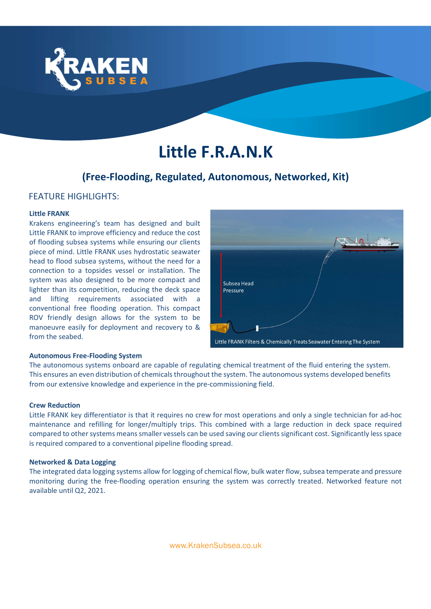

# Little F.R.A.N.K

# (Free-Flooding, Regulated, Autonomous, Networked, Kit)

## **FFATURE HIGHLIGHTS:**

#### Little FRANK

Krakens engineering's team has designed and built Little FRANK to improve efficiency and reduce the cost of flooding subsea systems while ensuring our clients piece of mind. Little FRANK uses hydrostatic seawater head to flood subsea systems, without the need for a connection to a topsides vessel or installation. The system was also designed to be more compact and lighter than its competition, reducing the deck space and lifting requirements associated with a conventional free flooding operation. This compact ROV friendly design allows for the system to be manoeuvre easily for deployment and recovery to & from the seabed.



#### Autonomous Free-Flooding System

The autonomous systems onboard are capable of regulating chemical treatment of the fluid entering the system. This ensures an even distribution of chemicals throughout the system. The autonomous systems developed benefits from our extensive knowledge and experience in the pre-commissioning field.

#### Crew Reduction

Little FRANK key differentiator is that it requires no crew for most operations and only a single technician for ad-hoc maintenance and refilling for longer/multiply trips. This combined with a large reduction in deck space required compared to other systems means smaller vessels can be used saving our clients significant cost. Significantly less space is required compared to a conventional pipeline flooding spread.

#### Networked & Data Logging

The integrated data logging systems allow for logging of chemical flow, bulk water flow, subsea temperate and pressure monitoring during the free-flooding operation ensuring the system was correctly treated. Networked feature not available until Q2, 2021.

www.KrakenSubsea.co.uk